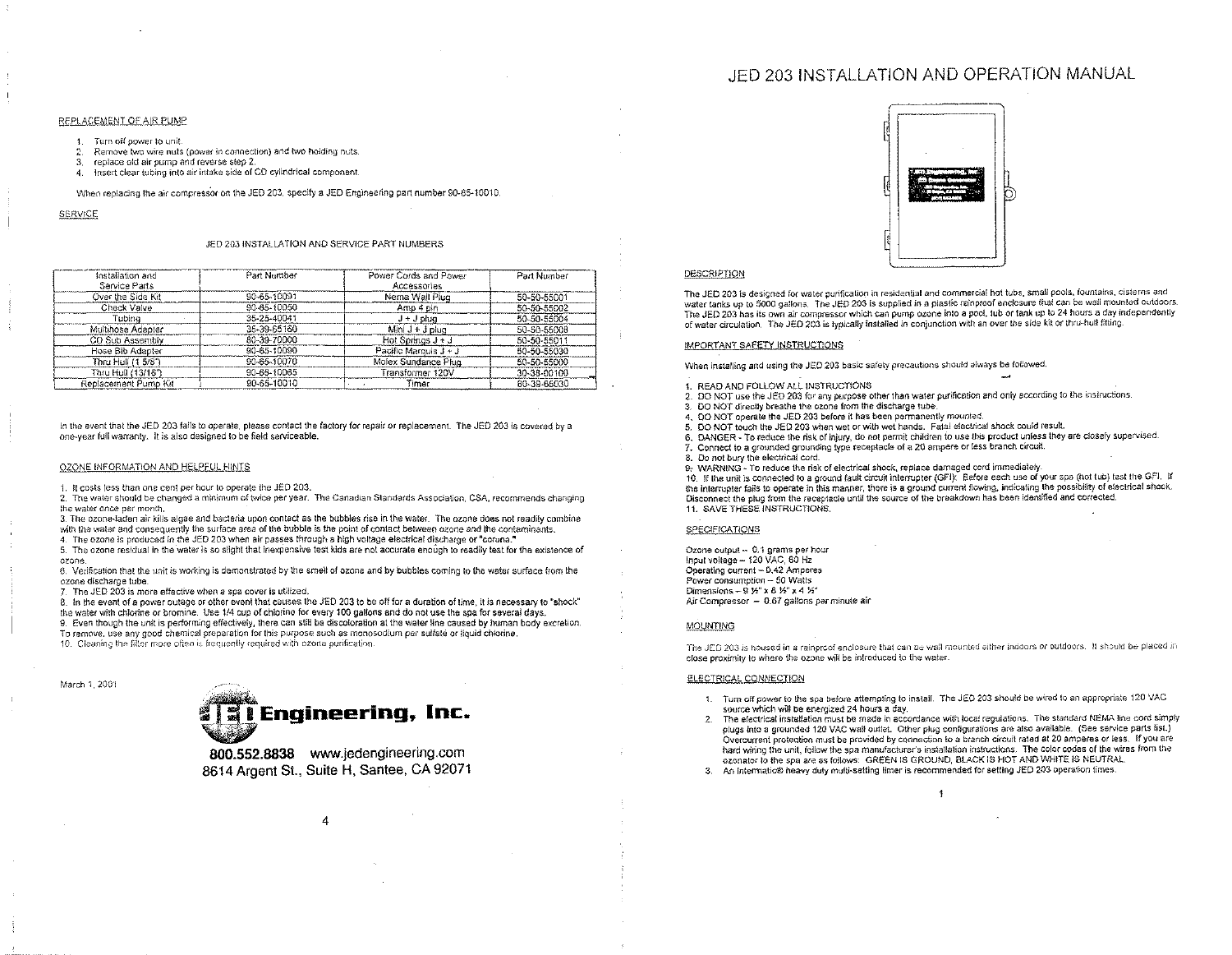# JED 203 INSTALLATION AND OPERATION MANUAL

### REPLACEMENT OF AIR PUMP

1. Turn off power to unit.

- 2. Remove two wire nuts (power in connection) and two holding nuts.
- 3. replace old air pump and reverse slep 2.
- 4. Insert clear tubing into air intake side of CD cylindrical component.

When replacing the air compressor on the JED 203. specify a JED Engineering part number 90-65-10010.

SERVICE

March 1. 2001

# JED 203 INSTALLATION AND SERVICE PART NUMBERS

| Installation and     | Part Number | Power Cords and Power   | Part Number |
|----------------------|-------------|-------------------------|-------------|
| Service Parts        |             | Accessories             |             |
| Over the Side Kit    | 90-65-10091 | Nema Wall Plug          | 50-50-55001 |
| Check Valve          | 90-65-10050 | Amp 4 pin               | 50-50-55002 |
| Tubina               | 35-25-40041 | $J + J$ plug            | 50-50-55004 |
| Multihose Adapter    | 35-39-65160 | Mini J + J plug         | 50-50-55008 |
| CD Sub Assembly      | 80-39-70000 | Hot Springs $J + J$     | 50-50-55011 |
| Hose Bib Adapter     | 90-65-10090 | Pacific Marquis $J + J$ | 50-50-55030 |
| Thru Hull (1 5/8")   | 90-65-10070 | Molex Sundance Plug     | 50-50-55000 |
| Thru Hull (13/16")   | 90-65-10065 | Transformer 120V        | 30-38-00100 |
| Replacement Pump Kit | 90-65-10010 | Timer                   | 80-39-65030 |

In the event that the JED 203 fails to operate, please contact the factory for repair or replacement. The JED 203 is covered by a one-year full warranty. It is also designed to be field serviceable.

### OZONE INFORMATION AND HELPFUL HINTS

1. It costs less than one cenl per hour to operate the JED 203.

2. The water should be changed a minimum of twice per year. The Canadian Standards Association, CSA, recommends changing the water once per month.

3. The ozone-laden air kills algae and bacteria upon contact as the bubbles rise in the water. The ozone does not readily combine with the water and consequently the surface area of the bubble is the point of contact between ozone and the contaminants.

4. The ozone is produced in the JED *203* when air passes through a high voltage electrical discharge or "corona."

5. The ozone residual in the water is so slight that inexpensive test kids are not accurate enough to readily test for the existence of ozone,

6. Verification that the unit is working is demonstrated by the smell of ozone and by bubbles coming to the water surface from the ozone discharge tube.

*T,* The JED 203 is more effective when a spa cover is utilized.

8. In the event of a power outage or other event that causes the JED 203 to be off for a duration of time. it is necessary to "shock" the water with chlorine or bromine. Use 114 cup of chlorine for every 100 gallons and do not use the spa for several days. 9. Even though the unit is performing effectively, there can still be discoloration at the water line caused by human body excretion. To remove, use any good chemical preparation for this purpose such as monosodium per sulfate or liquid chlorine.

10. Cleaning the filter more often is frequently required with ozone purification.



800.552.8838 [www.jedengineering.com](http://www.jedengineering.com) 8614 Argent St., Suite H, Santee, CA 92071

4



## DESCRIPTION

The JED 203 is designed for water purification in residential and commercia! hot tubs, small pools, fountains, cisterns and water tanks up to 5000 gallons. The JED *203* is supplied in a plastic rainproof enclosure that can be wall mounted outdoors. The JED 203 has its own air compressor which can pump ozone into a pool, tub or tank up to 24 hours a day independently of water circulation. The JED 203 is typically installed in conjunction with an over the side kit or tnru-hull fitting.

## IMPORTANT SAFETY INSTRUCTIONS

When installing and using the JED 203 basic safety precautions should always be followed.

- 1. READ AND FOLLOW ALL INSTRUCTIONS
- 2. DO NOT use the JED 203 for any purpose other than water purification and only according to the instructions.
- 3. DO NOT direclly breathe the ozone from the discharge tube.
- DO NOT operate the JED 203 before it has been permanently mounted.
- 5. DO NOT touch the JED 203 when wet or with wet hands. Fatal electrical shock could result.
- 6. DANGER To reduce the risk of injury, do not permit children to use this product unless they are closely supervised.
- Connect to a grounded grounding type receptacle of a 20 ampere or less branch circuit.
- Do not bury the electrical cord.
- 9, WARNING To reduce the risk of electrical shock. replace damaged cord immediately.

10. If the unit is connected to a ground fault circuit interrupter (GFI): Before each use of your spa (hot tub) test the GFI. If the interrupter fails to operate in this manner, there is a ground current flowing, indicating the possibility of electrical shock. Disconnect the plug from the receptacle until the source of the breakdown has been identified and corrected. 11. SAVE THESE INSTRUCTIONS.

## **SPECIFICATIONS**

Ozone output - 0.1 grams per hour Input voltage - 120 VAC. 60 Hz Operating current - 0.42 Amperes Power consumption - 50 Watts Dimensions - 9 %" x 8 %" x 4 %" Air Compressor  $-0.67$  gallons per minute air

### MOUNTING

The JED 203 is housed in a rainproof enclosure that can be wall mounted either indoors or outdoors. It should be placed in close proximity to where the ozone will be introduced to the water.

#### ELECTRICAL CONNECTION

- 1. Turn off power to the spa before attempting to install. The JED 203 should be wired to an appropriate 120 VAC source which will be energized 24 hours a day.
- 2. The electrical installation must be made in accordance with local regulations. The standard NEMA line cord simply plugs into a grounded 120 VAC wall outlet. Other plug configurations are also available. (See service parts list.) Overcurrent protection must be provided by connection to a branch circuit rated at 20 amperes or less. If you are hard wiring the unit, follow the spa manufacturers installation instructions. The color codes of the wires from the ozonator to the spa are as follows: GREEN IS GROUND. BLACK IS HOT AND WHITE IS NEUTRAL
- 3. An Intermatic® heavy duty multi-setting timer is recommended for setting JED 203 operation times.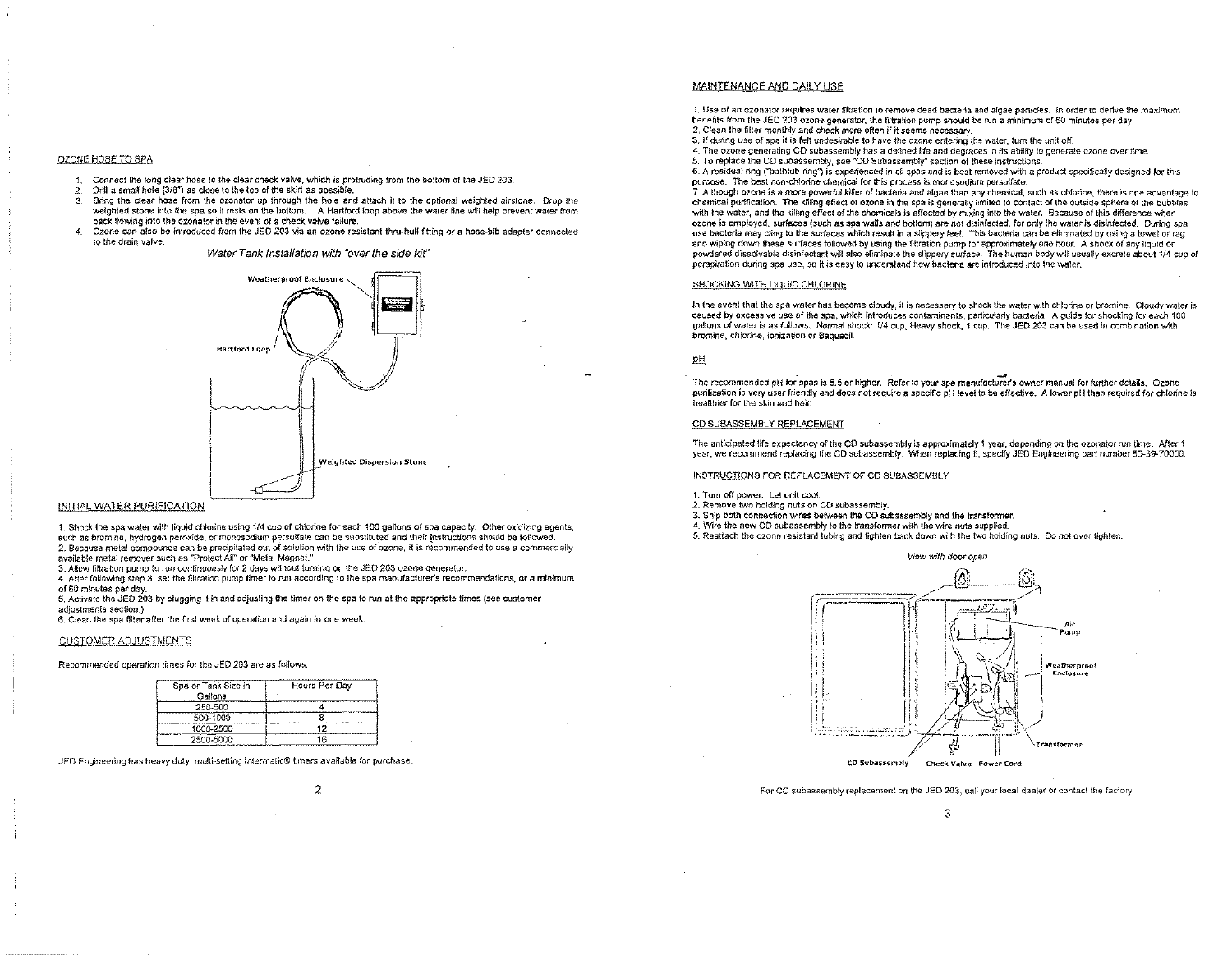#### OZONE HOSE TO SPA

- 1. Connect the long clear hose to the clear check valve, which is protruding from the bottom of the JED 203.<br>2. Drill a small hote (3/8") as close to the top of the skirt as possible.
- 2. Drill a small hole *(3/8")* as close to the top of the skirt as possible.
- 3. Bring the clear hose from the ozonator up through the hole and attach it to the optional weighted airstone. Drop the weighted stone into the spa so it rests on the bottom. A Hartford loop above the water line will help prevent water from back fiowing into the ozonator in the event of a check valve failure.
- 4. Ozone can also be introduced from the JED 203 via an ozone resistant thru-hull fitting or a hose-bib adapter connected **to the drain valve.**

## *Water Tank Installation with "over the side kit"*



## INITIAL WATER PURIFICATION

1. Shock the spa water with liquid chlorine using *1/4* cup of chlorine for each 100 gallons of spa capacity. Other oxidizing agenls, such **as bromine, hydrogen** peroxide, **or monosodium persulfate can be** substituted **and their instructions should be followed.** 2. Because metal compounds can be precipitated out of solution with the use of ozone, it is recommended to use a commercially **available metal remover such as "Protect All" or "Metal Magnet."**

3. Allow filtration pump to run continuously for 2 days without turning on the JED 203 ozone generator.

4. After following step 3, set the filtration pump timer to run according to the spa manufacturer's recommendations, or a minimum of 60 minutes per day.

5, Activate the JED 203 by plugging it in and adjusting the timer on the spa to run at the appropriate times (see customer **adjustments section.)**

**6. Clean the spa filter after the first week of operation and again in one week.**

### CUSTOMER ADJUSTMENTS

**Recommended operation times for the JED 203 are as follows:**

| Spa or Tank Size in | Hours Per Dav |
|---------------------|---------------|
| Gallons             |               |
| 250-500             |               |
| 500-1000            |               |
| 1000-2500           |               |
| 2500 5000           | ۱Â            |

# MAINTENANCE AND DAILY USE

1. Use of an ozonator requires water filtration to remove dead bacteria and algae particles. In order to derive the maximum benefits from the JED 203 ozone generator, the filtration pump should be run a minimum of 60 minutes per day. **2. Clean the filter monthly and check more often if it seems necessary.**

3. If during use of spa it is felt undesirable to have the ozone entering the water, turn the unit off.

4. The ozone generating CD subassembly has a defined life and degrades in its ability to generale ozone over time.

5. To replace the CD subassembly, see "CD Subassembly" section of these instructions.

6. A residual ring ("bathtub ring") is experienced in all spas and is best removed with a product specifically designed for this **purpose. The best** non-chtorine **chemical for this process is monosodium persulfate.**

7. Although ozone is a more powerful killer of bacteria and algae than any chemical, such as chiorine, there is one advantage to chemical purification. The killing effect of ozone in the spa is generally limited to contact of the outside sphere of the bubbles with the water, and the killing effect of the chemicals is affected by mixing into the water. Because of this difference when ozone is employed, surfaces (such as spa walls and bottom) are not disinfected, for only the water is disinfected. During spa use bacteria may cling to the surfaces which result in a slippery feel. This bacteria can be eliminated by using a towel of rag and wiping down these surfaces followed by using the filtration pump for sporoximately one hour. A shock of any liquid or powdered dissolvable disinfectant will also eliminate the slippery surface. The human body will usually excrete about 1/4 cup of **perspiration during spa use, so it is easy to understand how bacteria are introduced info the water.**

### SHOCKING WITH LIQUID CHLORINE

In the event that the spa water has become cloudy, it is necessary to shock the water with chlorine or bromine. Cloudy water is caused by excessive use of the spa, which introduces contaminants, particularly bacteria. A quide for shocking for each 100 gallons of water is as follows: Normal shock: *1/4* cup, Heavy shock, 1 cup. The JED 203 can be used in combination with **bromine, chlorine, ionization or 8aquacil.**

## pH

The recommended pH for spas is 5.5 or higher. Refer to your spa manufacturer's owner manual for further details. Ozone purification is very user friendly and does not require a specific pH level to be effective. A lower pH than required for chlorine is **healthier for the skin and hair.**

# CD SUBASSEMBLY REPLACEMENT

The anticipated life expectancy of the CD subassembly is approximately 1 year, depending on the ozonator run time. After 1 year, we recommend replacing the CD subassembly. When replacing it, specify JED Engineering part number 80-39-70000.

### INSTRUCTIONS FOR REPLACEMENT OF CD SUBASSEMBLY

- **1. Turn off power. Let unit cool.**
- **2. Remove two holding nuts on CO subassembly.**
- 3. Snip both connection wires between the CD subassembly and the transfonmer.
- 4. Wire the new CD subassembly to the transfonmer with the wire nuts supplied.
- 5. Reattach the ozone resistant tubing and fighten back down with the two holding nuts. Do not over tighten.



2 **For CO subassembly replacement on the JED 203, call your local dealer or contact the factory.**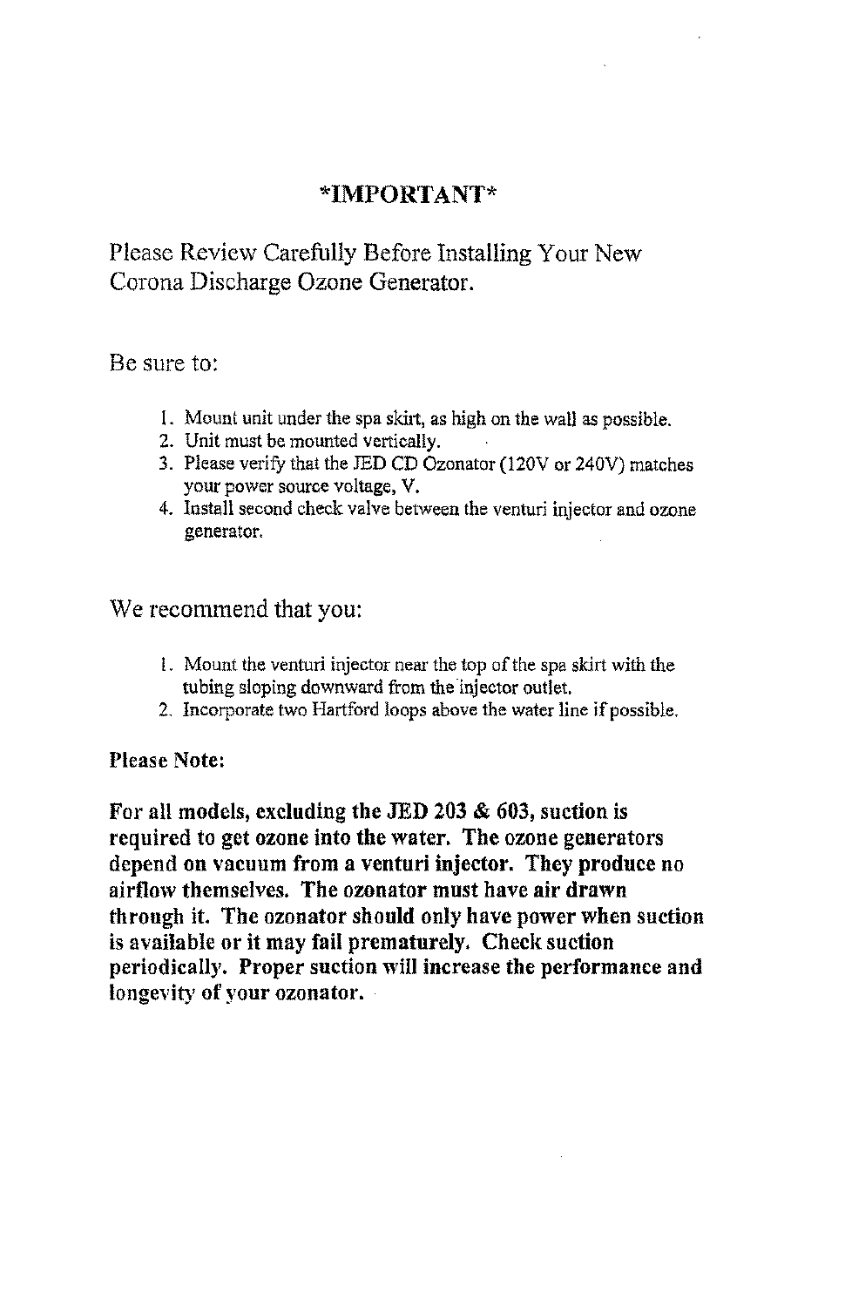# **\*IMPORTANT\***

Please Review Carefully Before Installing Your New Corona Discharge Ozone Generator.

Be sure to:

- 1. Mount unit under the spa skirt, as high on the wall as possible.
- 2. Unit must be mounted vertically.
- 3. Please verify that the JED CD Ozonator (120V or 240V) matches your power source voltage, V.
- 4. Install second check valve between the venturi injector and ozone generator.

We recommend that you:

- 1. Mount the venturi injector near the top of the spa skirt with the tubing sloping downward from the injector outlet.
- 2. Incorporate two Hartford loops above the water line if possible.

**Please Note:**

**For all models, excluding the JED 203 & 603, suction is required to get ozone into the water. The ozone generators depend on vacuum from a venturi injector. They produce no airflow themselves. The ozonator must have air drawn through it. The ozonator should only have power when suction is available or it may fail prematurely. Check suction periodically. Proper suction will increase the performance and longevity** of your **ozonator.**